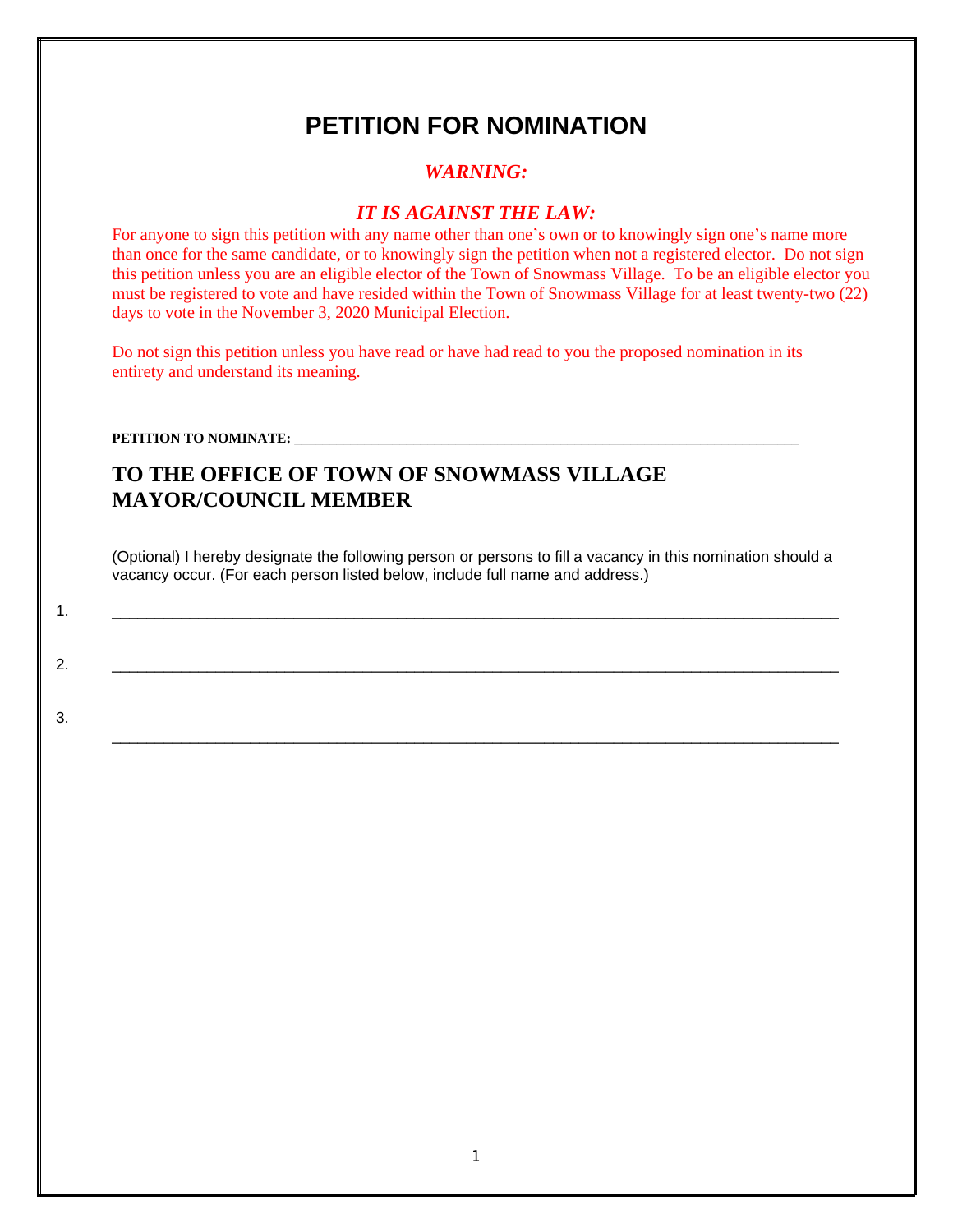# **PETITION FOR NOMINATION**

### *WARNING:*

### *IT IS AGAINST THE LAW:*

For anyone to sign this petition with any name other than one's own or to knowingly sign one's name more than once for the same candidate, or to knowingly sign the petition when not a registered elector. Do not sign this petition unless you are an eligible elector of the Town of Snowmass Village. To be an eligible elector you must be registered to vote and have resided within the Town of Snowmass Village for at least twenty-two (22) days to vote in the November 3, 2020 Municipal Election.

Do not sign this petition unless you have read or have had read to you the proposed nomination in its entirety and understand its meaning.

PETITION TO NOMINATE: \_\_\_\_\_\_

3.

## **TO THE OFFICE OF TOWN OF SNOWMASS VILLAGE MAYOR/COUNCIL MEMBER**

(Optional) I hereby designate the following person or persons to fill a vacancy in this nomination should a vacancy occur. (For each person listed below, include full name and address.)

\_\_\_\_\_\_\_\_\_\_\_\_\_\_\_\_\_\_\_\_\_\_\_\_\_\_\_\_\_\_\_\_\_\_\_\_\_\_\_\_\_\_\_\_\_\_\_\_\_\_\_\_\_\_\_\_\_\_\_\_\_\_\_\_\_\_\_\_\_\_\_\_\_\_\_\_\_\_\_\_\_\_\_\_

1. \_\_\_\_\_\_\_\_\_\_\_\_\_\_\_\_\_\_\_\_\_\_\_\_\_\_\_\_\_\_\_\_\_\_\_\_\_\_\_\_\_\_\_\_\_\_\_\_\_\_\_\_\_\_\_\_\_\_\_\_\_\_\_\_\_\_\_\_\_\_\_\_\_\_\_\_\_\_\_\_\_\_\_\_

2. \_\_\_\_\_\_\_\_\_\_\_\_\_\_\_\_\_\_\_\_\_\_\_\_\_\_\_\_\_\_\_\_\_\_\_\_\_\_\_\_\_\_\_\_\_\_\_\_\_\_\_\_\_\_\_\_\_\_\_\_\_\_\_\_\_\_\_\_\_\_\_\_\_\_\_\_\_\_\_\_\_\_\_\_

1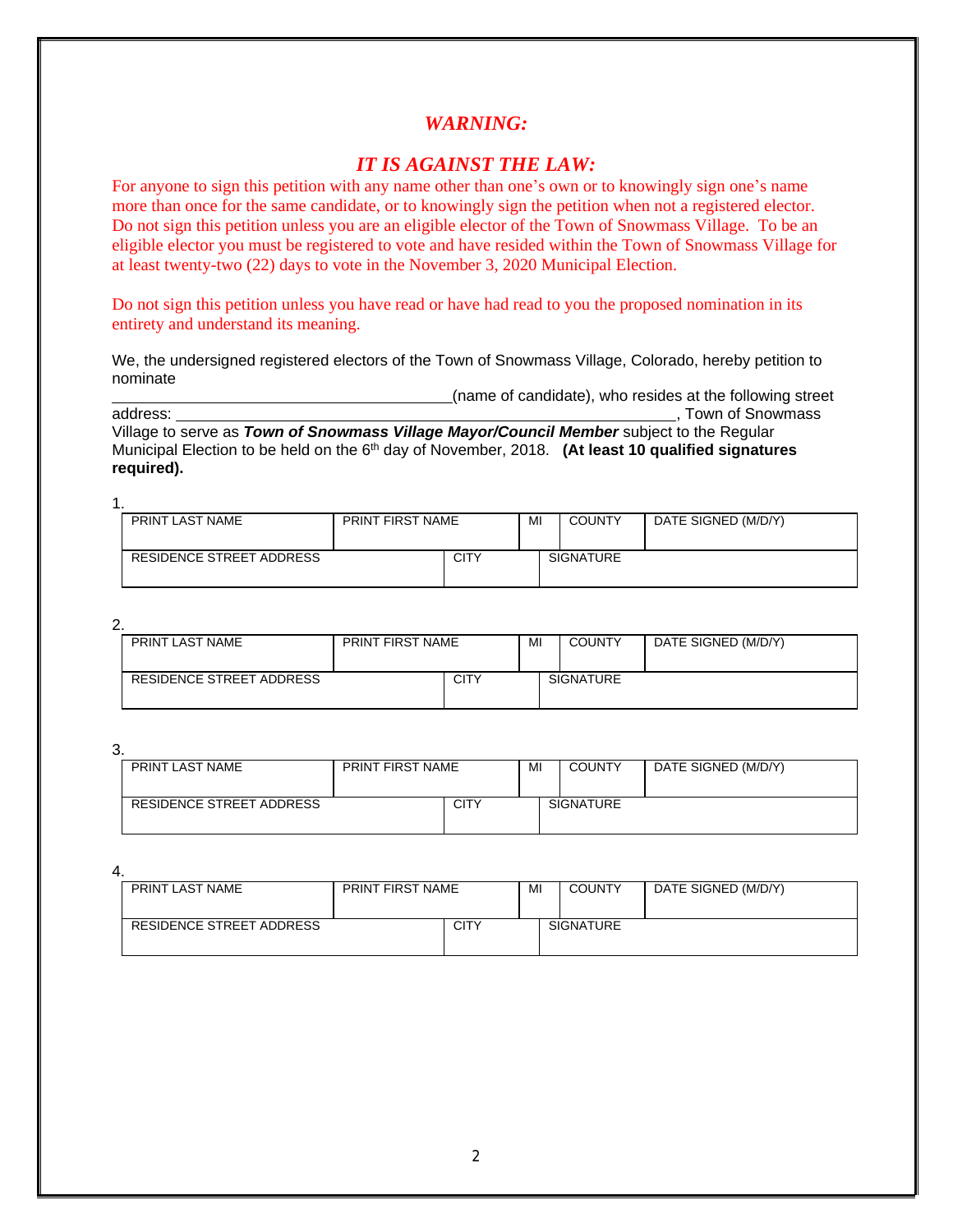#### *IT IS AGAINST THE LAW:*

For anyone to sign this petition with any name other than one's own or to knowingly sign one's name more than once for the same candidate, or to knowingly sign the petition when not a registered elector. Do not sign this petition unless you are an eligible elector of the Town of Snowmass Village. To be an eligible elector you must be registered to vote and have resided within the Town of Snowmass Village for at least twenty-two (22) days to vote in the November 3, 2020 Municipal Election.

Do not sign this petition unless you have read or have had read to you the proposed nomination in its entirety and understand its meaning.

We, the undersigned registered electors of the Town of Snowmass Village, Colorado, hereby petition to nominate

(name of candidate), who resides at the following street

address:  $\blacksquare$  Town of Snowmass address: Village to serve as *Town of Snowmass Village Mayor/Council Member* subject to the Regular Municipal Election to be held on the 6th day of November, 2018. **(At least 10 qualified signatures required).**

1. PRINT LAST NAME | PRINT FIRST NAME | MI | COUNTY | DATE SIGNED (M/D/Y) RESIDENCE STREET ADDRESS CITY SIGNATURE

2.

| PRINT LAST NAME          | PRINT FIRST NAME |             | MI | <b>COUNTY</b>    | DATE SIGNED (M/D/Y) |
|--------------------------|------------------|-------------|----|------------------|---------------------|
| RESIDENCE STREET ADDRESS |                  | <b>CITY</b> |    | <b>SIGNATURE</b> |                     |

3.

| PRINT LAST NAME          | <b>PRINT FIRST NAME</b> |             | MI | <b>COUNTY</b>    | DATE SIGNED (M/D/Y) |
|--------------------------|-------------------------|-------------|----|------------------|---------------------|
| RESIDENCE STREET ADDRESS |                         | <b>CITY</b> |    | <b>SIGNATURE</b> |                     |

| PRINT LAST NAME          | <b>PRINT FIRST NAME</b> |             | MI | <b>COUNTY</b>    | DATE SIGNED (M/D/Y) |
|--------------------------|-------------------------|-------------|----|------------------|---------------------|
| RESIDENCE STREET ADDRESS |                         | <b>CITY</b> |    | <b>SIGNATURE</b> |                     |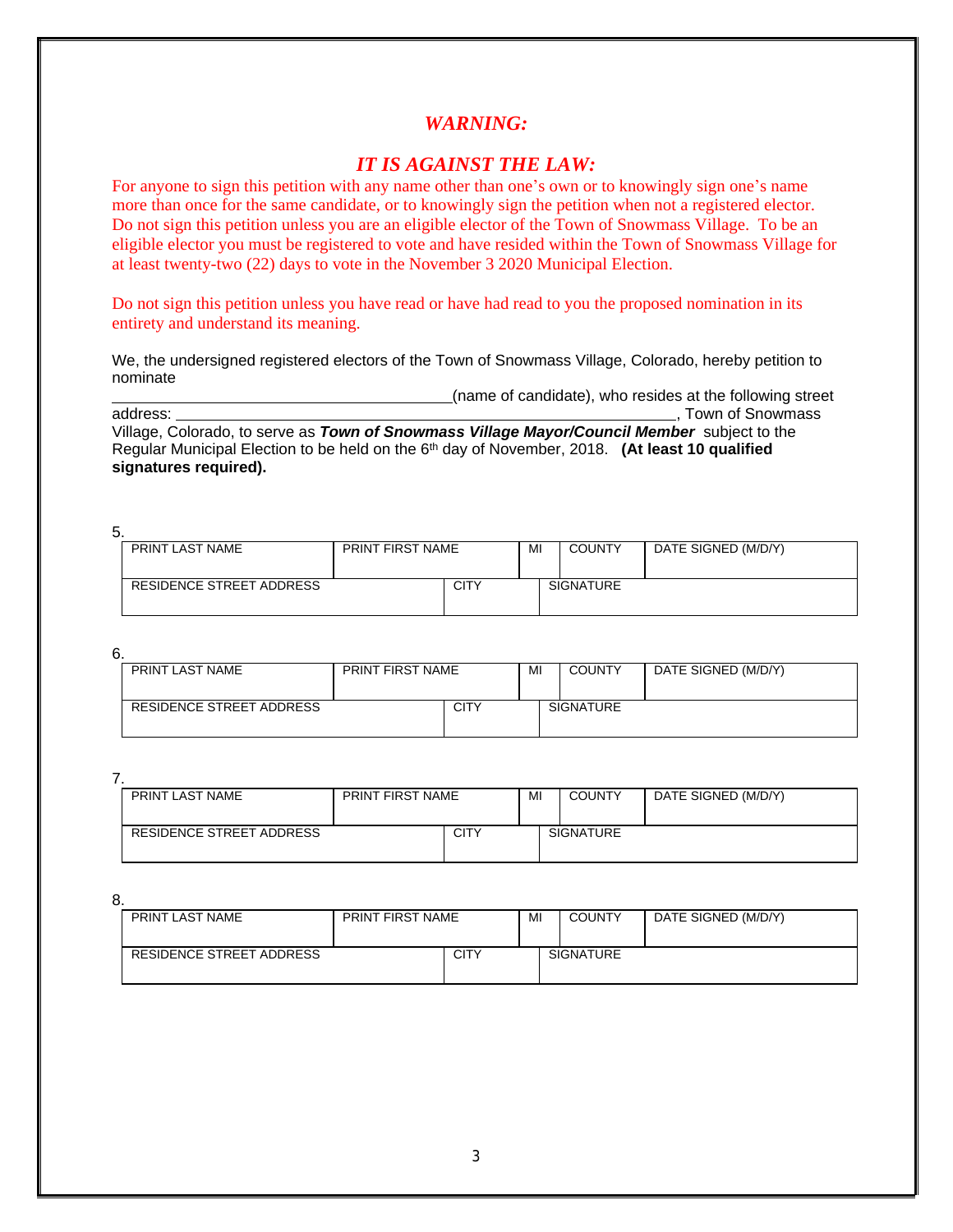### *IT IS AGAINST THE LAW:*

For anyone to sign this petition with any name other than one's own or to knowingly sign one's name more than once for the same candidate, or to knowingly sign the petition when not a registered elector. Do not sign this petition unless you are an eligible elector of the Town of Snowmass Village. To be an eligible elector you must be registered to vote and have resided within the Town of Snowmass Village for at least twenty-two (22) days to vote in the November 3 2020 Municipal Election.

Do not sign this petition unless you have read or have had read to you the proposed nomination in its entirety and understand its meaning.

We, the undersigned registered electors of the Town of Snowmass Village, Colorado, hereby petition to nominate

(name of candidate), who resides at the following street

address:  $\blacksquare$  , Town of Snowmass address:

Village, Colorado, to serve as *Town of Snowmass Village Mayor/Council Member* subject to the Regular Municipal Election to be held on the 6th day of November, 2018. **(At least 10 qualified signatures required).**

5.

| PRINT LAST NAME          | PRINT FIRST NAME |      | MI | <b>COUNTY</b>    | DATE SIGNED (M/D/Y) |
|--------------------------|------------------|------|----|------------------|---------------------|
| RESIDENCE STREET ADDRESS |                  | CITY |    | <b>SIGNATURE</b> |                     |

6.

| PRINT LAST NAME          | <b>PRINT FIRST NAME</b> |             | MI | <b>COUNTY</b>    | DATE SIGNED (M/D/Y) |
|--------------------------|-------------------------|-------------|----|------------------|---------------------|
| RESIDENCE STREET ADDRESS |                         | <b>CITY</b> |    | <b>SIGNATURE</b> |                     |

7.

| PRINT LAST NAME          | PRINT FIRST NAME |             | MI | <b>COUNTY</b>    | DATE SIGNED (M/D/Y) |
|--------------------------|------------------|-------------|----|------------------|---------------------|
| RESIDENCE STREET ADDRESS |                  | <b>CITY</b> |    | <b>SIGNATURE</b> |                     |

| PRINT LAST NAME          | <b>PRINT FIRST NAME</b> |             | MI | <b>COUNTY</b>    | DATE SIGNED (M/D/Y) |
|--------------------------|-------------------------|-------------|----|------------------|---------------------|
| RESIDENCE STREET ADDRESS |                         | <b>CITY</b> |    | <b>SIGNATURE</b> |                     |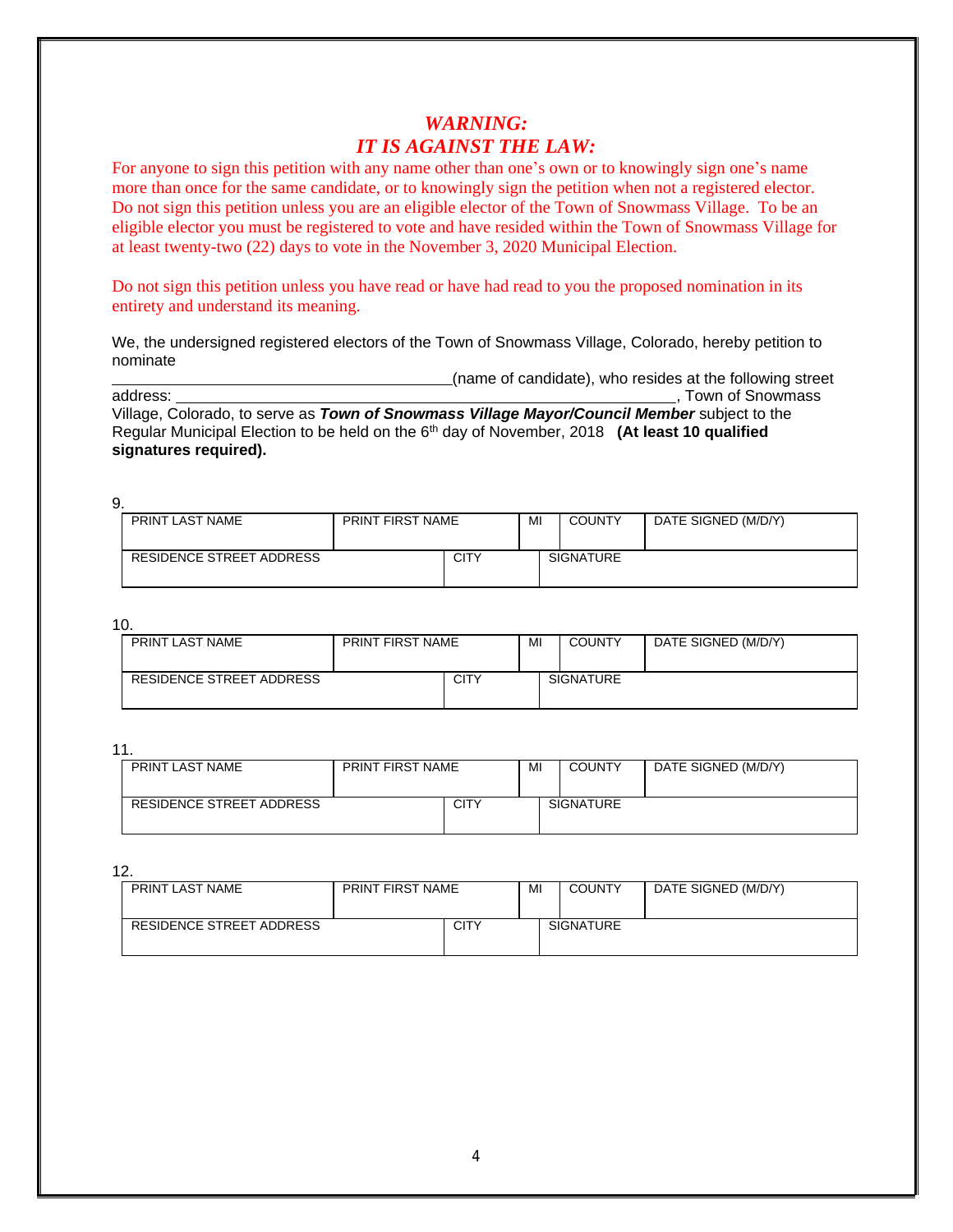## *WARNING: IT IS AGAINST THE LAW:*

For anyone to sign this petition with any name other than one's own or to knowingly sign one's name more than once for the same candidate, or to knowingly sign the petition when not a registered elector. Do not sign this petition unless you are an eligible elector of the Town of Snowmass Village. To be an eligible elector you must be registered to vote and have resided within the Town of Snowmass Village for at least twenty-two (22) days to vote in the November 3, 2020 Municipal Election.

Do not sign this petition unless you have read or have had read to you the proposed nomination in its entirety and understand its meaning.

We, the undersigned registered electors of the Town of Snowmass Village, Colorado, hereby petition to nominate

(name of candidate), who resides at the following street address:<br>address:<br>Town of Snowmass

, Town of Snowmass

Village, Colorado, to serve as *Town of Snowmass Village Mayor/Council Member* subject to the Regular Municipal Election to be held on the 6<sup>th</sup> day of November, 2018 **(At least 10 qualified signatures required).**

9. PRINT LAST NAME | PRINT FIRST NAME | MI | COUNTY | DATE SIGNED (M/D/Y) RESIDENCE STREET ADDRESS CITY SIGNATURE

10.

| . .<br>PRINT LAST NAME   | <b>PRINT FIRST NAME</b> |      | MI | <b>COUNTY</b>    | DATE SIGNED (M/D/Y) |
|--------------------------|-------------------------|------|----|------------------|---------------------|
|                          |                         |      |    |                  |                     |
|                          |                         |      |    |                  |                     |
| RESIDENCE STREET ADDRESS |                         | CITY |    | <b>SIGNATURE</b> |                     |
|                          |                         |      |    |                  |                     |
|                          |                         |      |    |                  |                     |

11.

| PRINT LAST NAME          | <b>PRINT FIRST NAME</b> |             | MI | <b>COUNTY</b>    | DATE SIGNED (M/D/Y) |
|--------------------------|-------------------------|-------------|----|------------------|---------------------|
| RESIDENCE STREET ADDRESS |                         | <b>CITY</b> |    | <b>SIGNATURE</b> |                     |

| PRINT LAST NAME          | <b>PRINT FIRST NAME</b> |             | MI | <b>COUNTY</b>    | DATE SIGNED (M/D/Y) |
|--------------------------|-------------------------|-------------|----|------------------|---------------------|
| RESIDENCE STREET ADDRESS |                         | <b>CITY</b> |    | <b>SIGNATURE</b> |                     |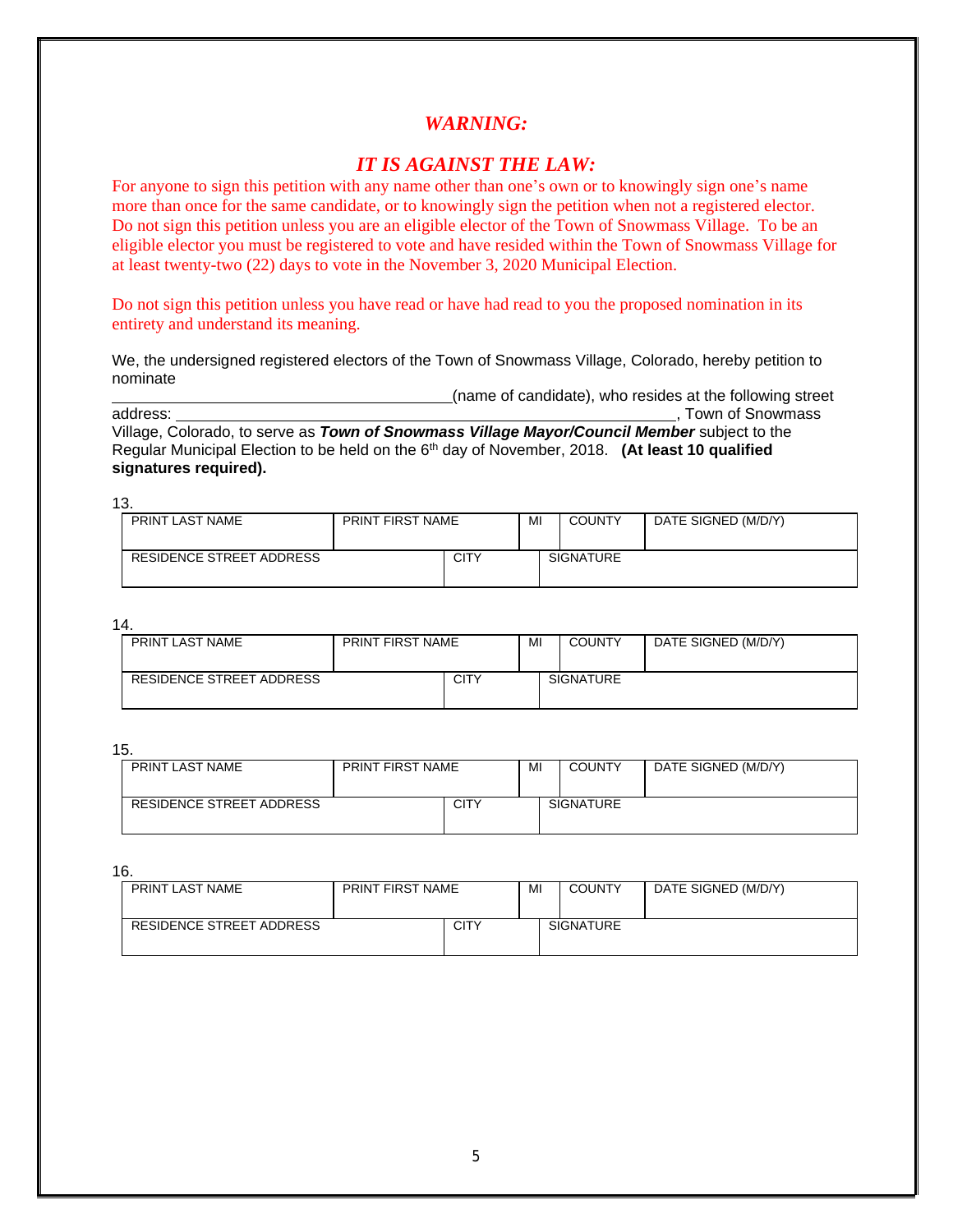#### *IT IS AGAINST THE LAW:*

For anyone to sign this petition with any name other than one's own or to knowingly sign one's name more than once for the same candidate, or to knowingly sign the petition when not a registered elector. Do not sign this petition unless you are an eligible elector of the Town of Snowmass Village. To be an eligible elector you must be registered to vote and have resided within the Town of Snowmass Village for at least twenty-two (22) days to vote in the November 3, 2020 Municipal Election.

Do not sign this petition unless you have read or have had read to you the proposed nomination in its entirety and understand its meaning.

We, the undersigned registered electors of the Town of Snowmass Village, Colorado, hereby petition to nominate

(name of candidate), who resides at the following street

address:  $\blacksquare$  Town of Snowmass address:

Village, Colorado, to serve as *Town of Snowmass Village Mayor/Council Member* subject to the Regular Municipal Election to be held on the 6th day of November, 2018. **(At least 10 qualified signatures required).**

13.

| <u>.</u>                 |                         |             |    |                  |                     |
|--------------------------|-------------------------|-------------|----|------------------|---------------------|
| PRINT LAST NAME          | <b>PRINT FIRST NAME</b> |             | MI | <b>COUNTY</b>    | DATE SIGNED (M/D/Y) |
|                          |                         |             |    |                  |                     |
| RESIDENCE STREET ADDRESS |                         | <b>CITY</b> |    | <b>SIGNATURE</b> |                     |
|                          |                         |             |    |                  |                     |
|                          |                         |             |    |                  |                     |

14.

| PRINT LAST NAME          | <b>PRINT FIRST NAME</b> |             | MI | <b>COUNTY</b>    | DATE SIGNED (M/D/Y) |
|--------------------------|-------------------------|-------------|----|------------------|---------------------|
| RESIDENCE STREET ADDRESS |                         | <b>CITY</b> |    | <b>SIGNATURE</b> |                     |

15.

| PRINT LAST NAME          | <b>PRINT FIRST NAME</b> |             | MI | <b>COUNTY</b>    | DATE SIGNED (M/D/Y) |
|--------------------------|-------------------------|-------------|----|------------------|---------------------|
| RESIDENCE STREET ADDRESS |                         | <b>CITY</b> |    | <b>SIGNATURE</b> |                     |

| PRINT LAST NAME          | <b>PRINT FIRST NAME</b> |             | MI | <b>COUNTY</b>    | DATE SIGNED (M/D/Y) |
|--------------------------|-------------------------|-------------|----|------------------|---------------------|
| RESIDENCE STREET ADDRESS |                         | <b>CITY</b> |    | <b>SIGNATURE</b> |                     |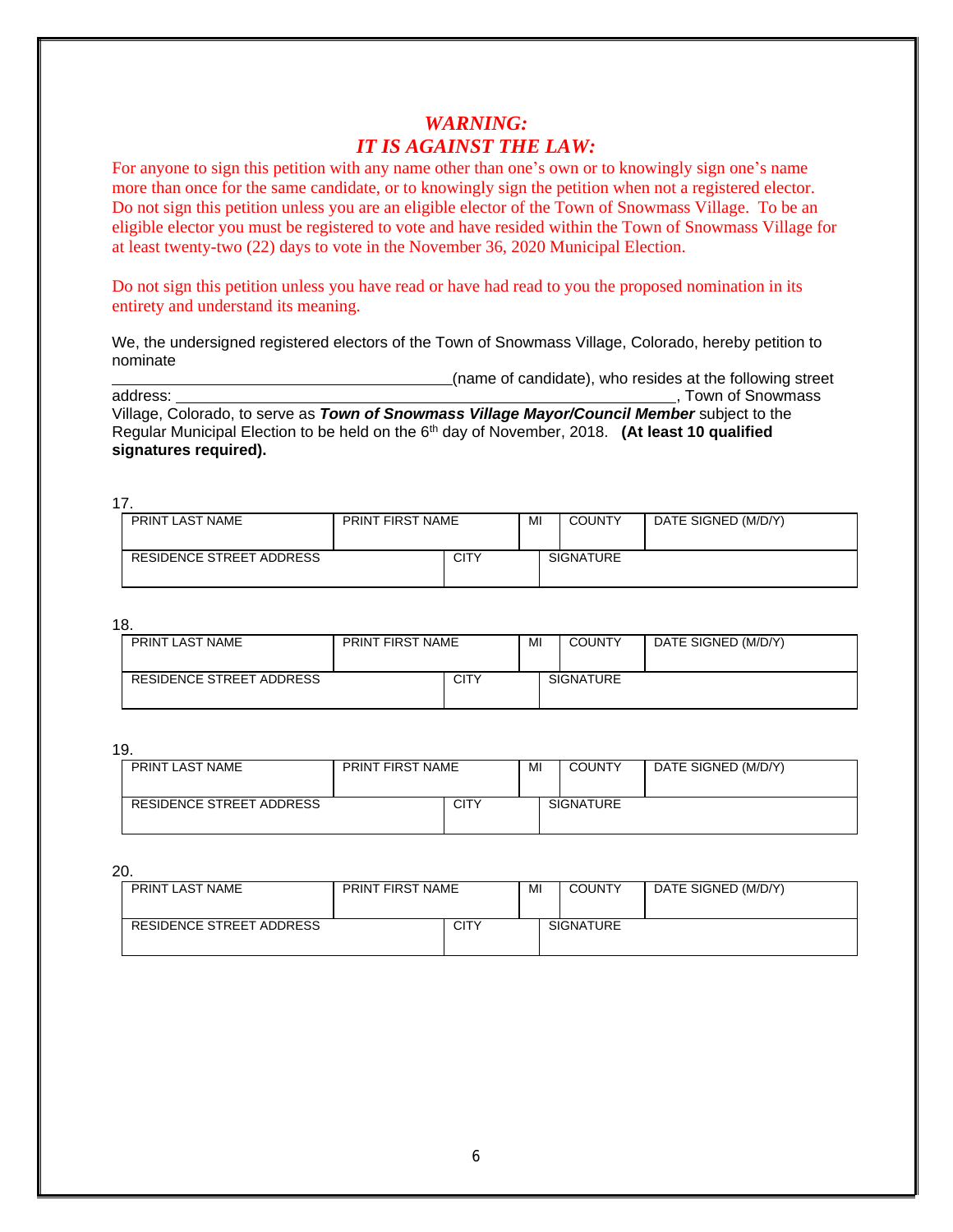## *WARNING: IT IS AGAINST THE LAW:*

For anyone to sign this petition with any name other than one's own or to knowingly sign one's name more than once for the same candidate, or to knowingly sign the petition when not a registered elector. Do not sign this petition unless you are an eligible elector of the Town of Snowmass Village. To be an eligible elector you must be registered to vote and have resided within the Town of Snowmass Village for at least twenty-two (22) days to vote in the November 36, 2020 Municipal Election.

Do not sign this petition unless you have read or have had read to you the proposed nomination in its entirety and understand its meaning.

We, the undersigned registered electors of the Town of Snowmass Village, Colorado, hereby petition to nominate

(name of candidate), who resides at the following street address:<br>address:<br>Town of Snowmass

, Town of Snowmass Village, Colorado, to serve as *Town of Snowmass Village Mayor/Council Member* subject to the Regular Municipal Election to be held on the 6th day of November, 2018. **(At least 10 qualified** 

**signatures required).**

| ''.                      |                  |  |    |                  |                     |
|--------------------------|------------------|--|----|------------------|---------------------|
| PRINT LAST NAME          | PRINT FIRST NAME |  | MI | <b>COUNTY</b>    | DATE SIGNED (M/D/Y) |
|                          |                  |  |    |                  |                     |
|                          |                  |  |    |                  |                     |
| RESIDENCE STREET ADDRESS | CITY             |  |    | <b>SIGNATURE</b> |                     |
|                          |                  |  |    |                  |                     |

18.

 $17$ 

| PRINT LAST NAME          | <b>PRINT FIRST NAME</b> |      | MI | <b>COUNTY</b>    | DATE SIGNED (M/D/Y) |
|--------------------------|-------------------------|------|----|------------------|---------------------|
| RESIDENCE STREET ADDRESS |                         | CITY |    | <b>SIGNATURE</b> |                     |

19.

| .                        |                         |             |    |                  |                     |  |  |
|--------------------------|-------------------------|-------------|----|------------------|---------------------|--|--|
| PRINT LAST NAME          | <b>PRINT FIRST NAME</b> |             | MI | <b>COUNTY</b>    | DATE SIGNED (M/D/Y) |  |  |
|                          |                         |             |    |                  |                     |  |  |
|                          |                         |             |    |                  |                     |  |  |
|                          |                         |             |    |                  |                     |  |  |
| RESIDENCE STREET ADDRESS |                         | <b>CITY</b> |    | <b>SIGNATURE</b> |                     |  |  |
|                          |                         |             |    |                  |                     |  |  |
|                          |                         |             |    |                  |                     |  |  |
|                          |                         |             |    |                  |                     |  |  |
|                          |                         |             |    |                  |                     |  |  |

| PRINT LAST NAME          | <b>PRINT FIRST NAME</b> |             | MI | <b>COUNTY</b>    | DATE SIGNED (M/D/Y) |
|--------------------------|-------------------------|-------------|----|------------------|---------------------|
| RESIDENCE STREET ADDRESS |                         | <b>CITY</b> |    | <b>SIGNATURE</b> |                     |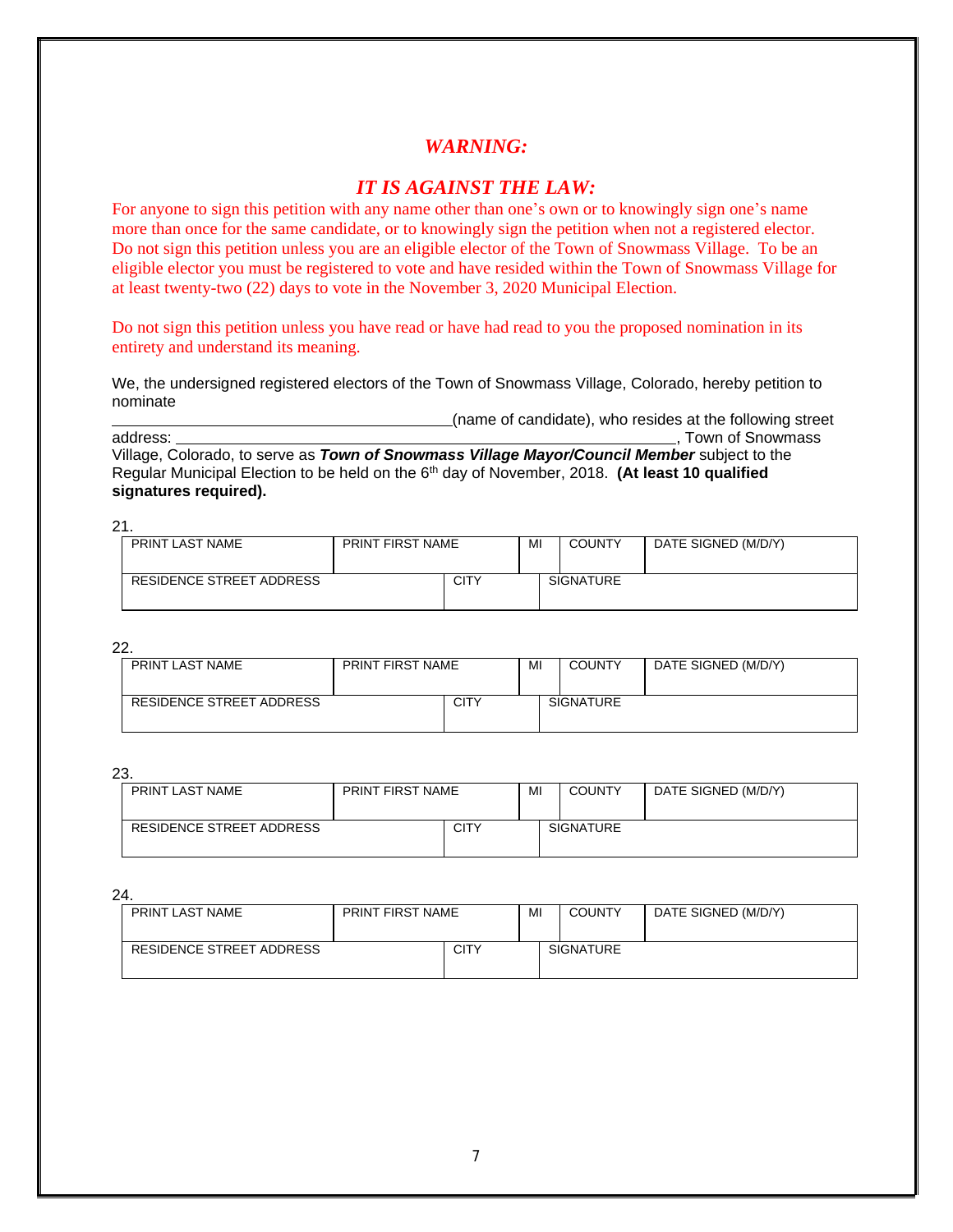### *IT IS AGAINST THE LAW:*

For anyone to sign this petition with any name other than one's own or to knowingly sign one's name more than once for the same candidate, or to knowingly sign the petition when not a registered elector. Do not sign this petition unless you are an eligible elector of the Town of Snowmass Village. To be an eligible elector you must be registered to vote and have resided within the Town of Snowmass Village for at least twenty-two (22) days to vote in the November 3, 2020 Municipal Election.

Do not sign this petition unless you have read or have had read to you the proposed nomination in its entirety and understand its meaning.

We, the undersigned registered electors of the Town of Snowmass Village, Colorado, hereby petition to nominate

(name of candidate), who resides at the following street address:<br>address: Town of Snowmass <sub>-</sub>, Town of Snowmass Village, Colorado, to serve as *Town of Snowmass Village Mayor/Council Member* subject to the Regular Municipal Election to be held on the 6<sup>th</sup> day of November, 2018. **(At least 10 qualified signatures required).**

21.

| PRINT LAST NAME          | <b>PRINT FIRST NAME</b> |             | MI | <b>COUNTY</b>    | DATE SIGNED (M/D/Y) |
|--------------------------|-------------------------|-------------|----|------------------|---------------------|
| RESIDENCE STREET ADDRESS |                         | <b>CITY</b> |    | <b>SIGNATURE</b> |                     |

22.

| PRINT LAST NAME          | <b>PRINT FIRST NAME</b> |             | MI | <b>COUNTY</b>    | DATE SIGNED (M/D/Y) |
|--------------------------|-------------------------|-------------|----|------------------|---------------------|
| RESIDENCE STREET ADDRESS |                         | <b>CITY</b> |    | <b>SIGNATURE</b> |                     |

23.

| PRINT LAST NAME          | <b>PRINT FIRST NAME</b> |             | MI | <b>COUNTY</b>    | DATE SIGNED (M/D/Y) |
|--------------------------|-------------------------|-------------|----|------------------|---------------------|
| RESIDENCE STREET ADDRESS |                         | <b>CITY</b> |    | <b>SIGNATURE</b> |                     |

| PRINT LAST NAME          | <b>PRINT FIRST NAME</b> |      | MI | <b>COUNTY</b>    | DATE SIGNED (M/D/Y) |
|--------------------------|-------------------------|------|----|------------------|---------------------|
| RESIDENCE STREET ADDRESS |                         | CITY |    | <b>SIGNATURE</b> |                     |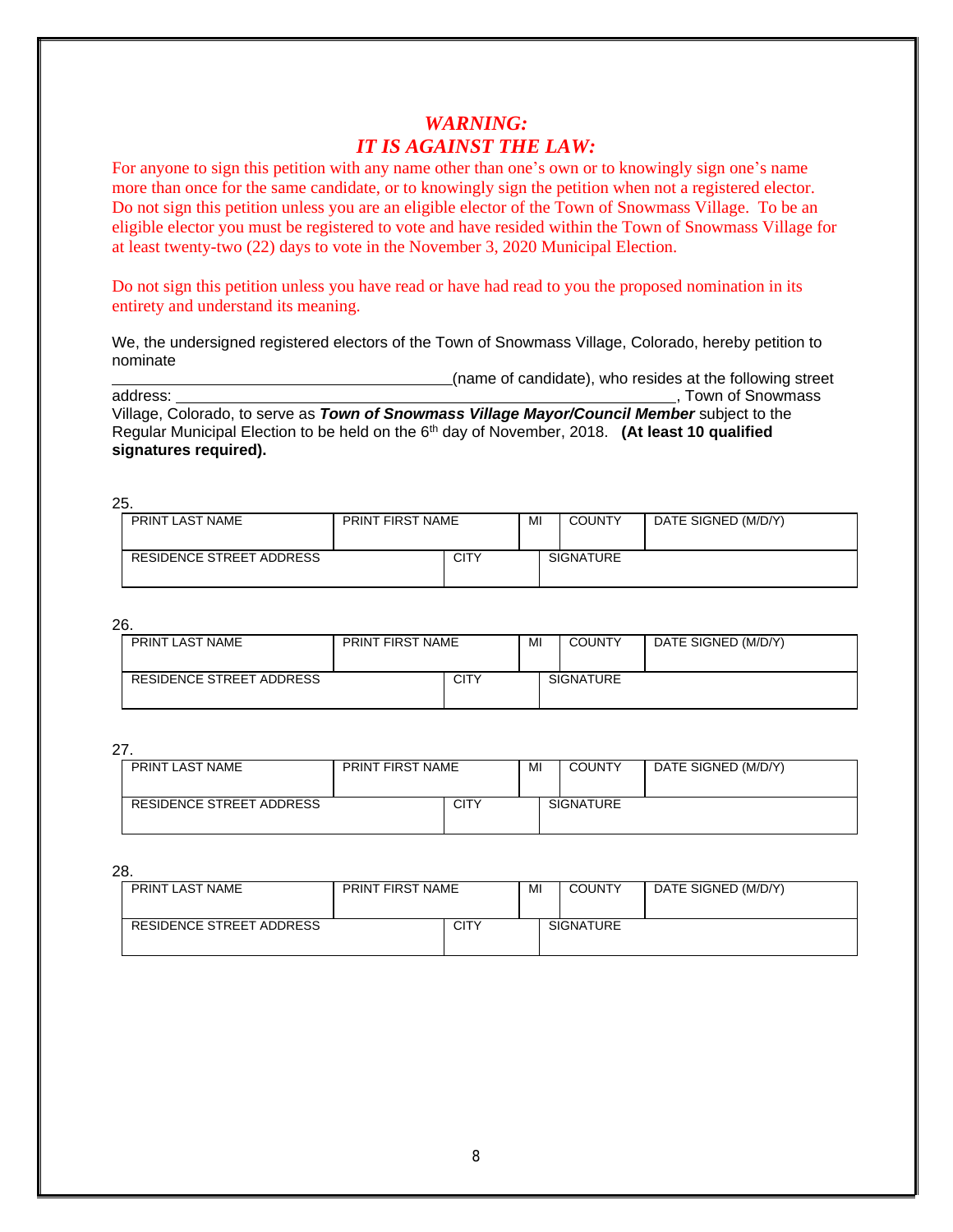## *WARNING: IT IS AGAINST THE LAW:*

For anyone to sign this petition with any name other than one's own or to knowingly sign one's name more than once for the same candidate, or to knowingly sign the petition when not a registered elector. Do not sign this petition unless you are an eligible elector of the Town of Snowmass Village. To be an eligible elector you must be registered to vote and have resided within the Town of Snowmass Village for at least twenty-two (22) days to vote in the November 3, 2020 Municipal Election.

Do not sign this petition unless you have read or have had read to you the proposed nomination in its entirety and understand its meaning.

We, the undersigned registered electors of the Town of Snowmass Village, Colorado, hereby petition to nominate

(name of candidate), who resides at the following street

, Town of Snowmass

Village, Colorado, to serve as *Town of Snowmass Village Mayor/Council Member* subject to the Regular Municipal Election to be held on the 6<sup>th</sup> day of November, 2018. **(At least 10 qualified signatures required).**

25.

| PRINT LAST NAME          | <b>PRINT FIRST NAME</b> |             | MI | <b>COUNTY</b>    | DATE SIGNED (M/D/Y) |
|--------------------------|-------------------------|-------------|----|------------------|---------------------|
| RESIDENCE STREET ADDRESS |                         | <b>CITY</b> |    | <b>SIGNATURE</b> |                     |

26.

| PRINT LAST NAME          | <b>PRINT FIRST NAME</b> |             | MI | <b>COUNTY</b>    | DATE SIGNED (M/D/Y) |
|--------------------------|-------------------------|-------------|----|------------------|---------------------|
| RESIDENCE STREET ADDRESS |                         | <b>CITY</b> |    | <b>SIGNATURE</b> |                     |

27.

| - - -                    |                         |      |    |                  |                     |  |  |
|--------------------------|-------------------------|------|----|------------------|---------------------|--|--|
| PRINT LAST NAME          | <b>PRINT FIRST NAME</b> |      | MI | <b>COUNTY</b>    | DATE SIGNED (M/D/Y) |  |  |
|                          |                         |      |    |                  |                     |  |  |
|                          |                         |      |    |                  |                     |  |  |
|                          |                         |      |    |                  |                     |  |  |
| RESIDENCE STREET ADDRESS |                         | CITY |    | <b>SIGNATURE</b> |                     |  |  |
|                          |                         |      |    |                  |                     |  |  |
|                          |                         |      |    |                  |                     |  |  |
|                          |                         |      |    |                  |                     |  |  |
|                          |                         |      |    |                  |                     |  |  |

| PRINT LAST NAME          | <b>PRINT FIRST NAME</b> |      | MI | <b>COUNTY</b>    | DATE SIGNED (M/D/Y) |  |
|--------------------------|-------------------------|------|----|------------------|---------------------|--|
| RESIDENCE STREET ADDRESS |                         | CITY |    | <b>SIGNATURE</b> |                     |  |
|                          |                         |      |    |                  |                     |  |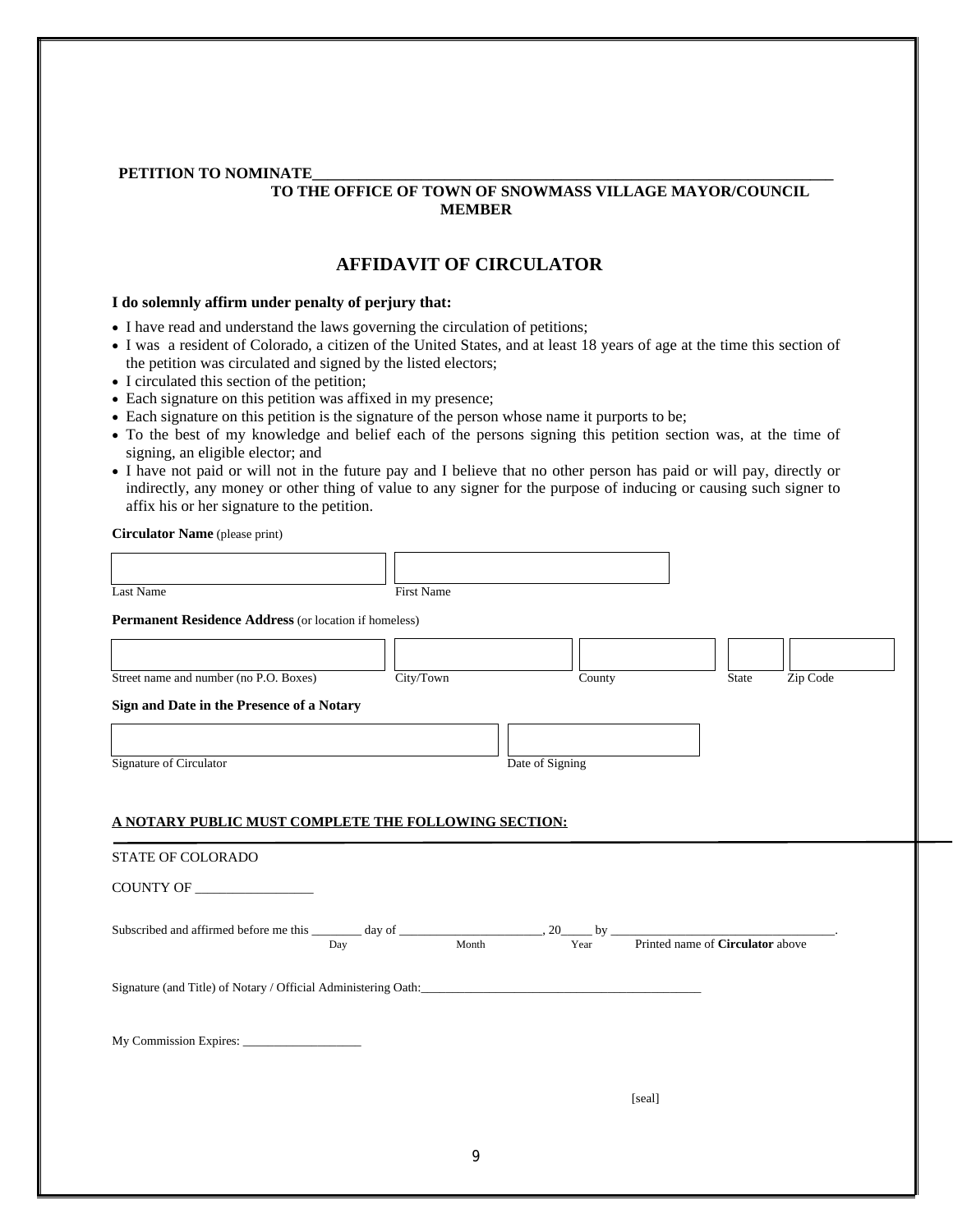#### PETITION TO NOMINATE

#### **TO THE OFFICE OF TOWN OF SNOWMASS VILLAGE MAYOR/COUNCIL MEMBER**

#### **AFFIDAVIT OF CIRCULATOR**

#### **I do solemnly affirm under penalty of perjury that:**

- I have read and understand the laws governing the circulation of petitions;
- I was a resident of Colorado, a citizen of the United States, and at least 18 years of age at the time this section of the petition was circulated and signed by the listed electors;
- I circulated this section of the petition;
- Each signature on this petition was affixed in my presence;
- Each signature on this petition is the signature of the person whose name it purports to be;
- To the best of my knowledge and belief each of the persons signing this petition section was, at the time of signing, an eligible elector; and
- I have not paid or will not in the future pay and I believe that no other person has paid or will pay, directly or indirectly, any money or other thing of value to any signer for the purpose of inducing or causing such signer to affix his or her signature to the petition.

**Circulator Name** (please print)

| $Cn$ cannot realist (picase print)                                                                                                                 |            |                 |                   |  |
|----------------------------------------------------------------------------------------------------------------------------------------------------|------------|-----------------|-------------------|--|
|                                                                                                                                                    |            |                 |                   |  |
| Last Name                                                                                                                                          | First Name |                 |                   |  |
| Permanent Residence Address (or location if homeless)                                                                                              |            |                 |                   |  |
|                                                                                                                                                    |            |                 |                   |  |
|                                                                                                                                                    |            |                 |                   |  |
| Street name and number (no P.O. Boxes)                                                                                                             | City/Town  | County          | Zip Code<br>State |  |
| Sign and Date in the Presence of a Notary                                                                                                          |            |                 |                   |  |
|                                                                                                                                                    |            |                 |                   |  |
|                                                                                                                                                    |            |                 |                   |  |
| Signature of Circulator                                                                                                                            |            | Date of Signing |                   |  |
|                                                                                                                                                    |            |                 |                   |  |
| A NOTARY PUBLIC MUST COMPLETE THE FOLLOWING SECTION:<br>STATE OF COLORADO                                                                          |            |                 |                   |  |
| COUNTY OF                                                                                                                                          |            |                 |                   |  |
| Subscribed and affirmed before me this $\frac{y}{y}$ day of $\frac{y}{y}$ , $\frac{y}{y}$ by $\frac{y}{y}$ Printed name of <b>Circulator</b> above |            |                 |                   |  |
|                                                                                                                                                    |            |                 |                   |  |
| Signature (and Title) of Notary / Official Administering Oath:                                                                                     |            |                 |                   |  |
|                                                                                                                                                    |            |                 |                   |  |
|                                                                                                                                                    |            |                 |                   |  |
|                                                                                                                                                    |            |                 |                   |  |
|                                                                                                                                                    |            |                 |                   |  |
|                                                                                                                                                    |            | [seal]          |                   |  |
|                                                                                                                                                    |            |                 |                   |  |
|                                                                                                                                                    |            |                 |                   |  |